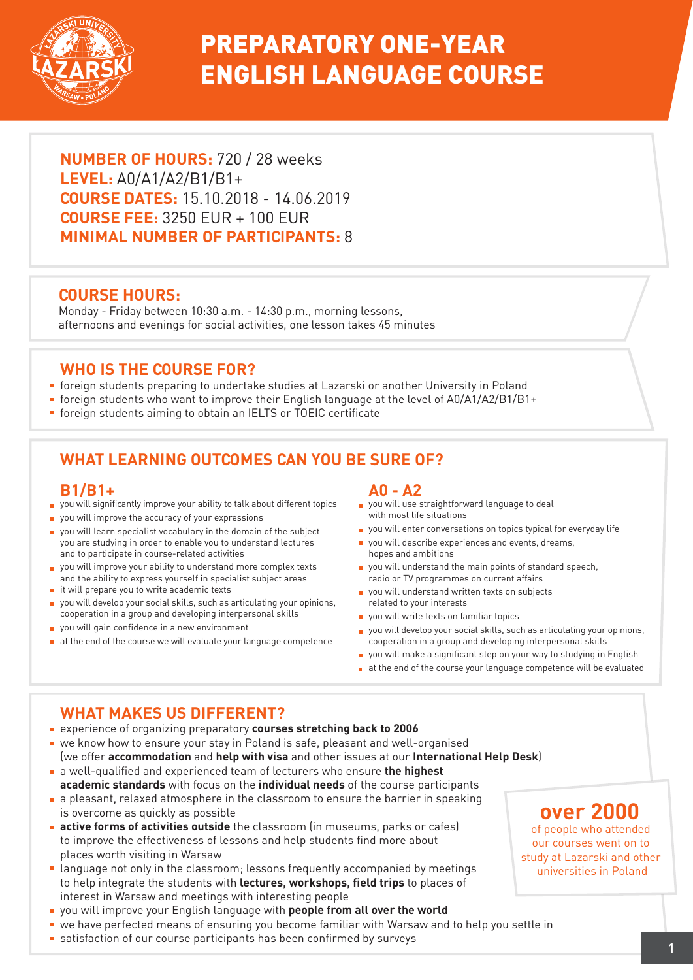

# PREPARATORY ONE-YEAR ENGLISH LANGUAGE COURSE

**NUMBER OF HOURS:** 720 / 28 weeks **LEVEL:** A0/A1/A2/B1/B1+ **COURSE DATES:** 15.10.2018 - 14.06.2019 **COURSE FEE:** 3250 EUR + 100 EUR **MINIMAL NUMBER OF PARTICIPANTS:** 8

### **COURSE HOURS:**

Monday - Friday between 10:30 a.m. - 14:30 p.m., morning lessons, afternoons and evenings for social activities, one lesson takes 45 minutes

### **WHO IS THE COURSE FOR?**

- foreign students preparing to undertake studies at Lazarski or another University in Poland
- foreign students who want to improve their English language at the level of A0/A1/A2/B1/B1+
- **foreign students aiming to obtain an IELTS or TOEIC certificate**

## **WHAT LEARNING OUTCOMES CAN YOU BE SURE OF?**

#### **B1/B1+**

- you will significantly improve your ability to talk about different topics
- **p** you will improve the accuracy of your expressions
- vou will learn specialist vocabulary in the domain of the subject you are studying in order to enable you to understand lectures and to participate in course-related activities
- you will improve your ability to understand more complex texts and the ability to express yourself in specialist subject areas
- $\blacksquare$  it will prepare you to write academic texts
- you will develop your social skills, such as articulating your opinions, cooperation in a group and developing interpersonal skills
- vou will gain confidence in a new environment
- $\blacksquare$  at the end of the course we will evaluate your language competence

#### **A0 - A2**

- vou will use straightforward language to deal with most life situations
- vou will enter conversations on topics typical for everyday life
- you will describe experiences and events, dreams, hopes and ambitions
- vou will understand the main points of standard speech, radio or TV programmes on current affairs
- vou will understand written texts on subjects related to your interests
- vou will write texts on familiar topics
- you will develop your social skills, such as articulating your opinions, cooperation in a group and developing interpersonal skills
- vou will make a significant step on your way to studying in English
- at the end of the course your language competence will be evaluated

## **WHAT MAKES US DIFFERENT?**

- experience of organizing preparatory **courses stretching back to 2006**
- we know how to ensure your stay in Poland is safe, pleasant and well-organised (we offer **accommodation** and **help with visa** and other issues at our **International Help Desk**)
- a well-qualified and experienced team of lecturers who ensure **the highest academic standards** with focus on the **individual needs** of the course participants
- a pleasant, relaxed atmosphere in the classroom to ensure the barrier in speaking is overcome as quickly as possible
- **active forms of activities outside** the classroom (in museums, parks or cafes) to improve the effectiveness of lessons and help students find more about places worth visiting in Warsaw
- **Language not only in the classroom; lessons frequently accompanied by meetings** to help integrate the students with **lectures, workshops, field trips** to places of interest in Warsaw and meetings with interesting people
- you will improve your English language with **people from all over the world**
- we have perfected means of ensuring you become familiar with Warsaw and to help you settle in
- **Example 1** satisfaction of our course participants has been confirmed by surveys **1**

## **over 2000**

of people who attended our courses went on to study at Lazarski and other universities in Poland